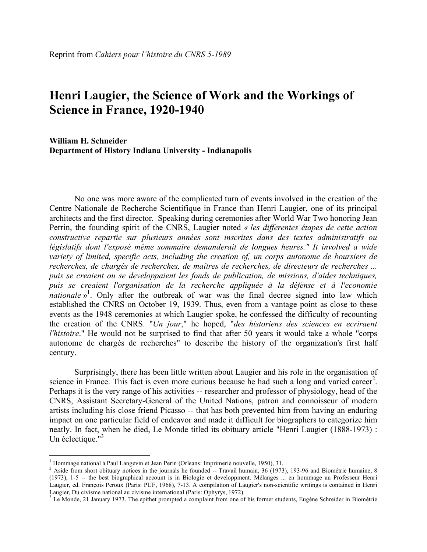# **Henri Laugier, the Science of Work and the Workings of Science in France, 1920-1940**

**William H. Schneider Department of History Indiana University - Indianapolis**

No one was more aware of the complicated turn of events involved in the creation of the Centre Nationale de Recherche Scientifique in France than Henri Laugier, one of its principal architects and the first director. Speaking during ceremonies after World War Two honoring Jean Perrin, the founding spirit of the CNRS, Laugier noted *« les differentes étapes de cette action constructive repartie sur plusieurs années sont inscrites dans des textes administratifs ou législatifs dont l'exposé même sommaire demanderait de longues heures." It involved a wide variety of limited, specific acts, including the creation of, un corps autonome de boursiers de recherches, de chargés de recherches, de maîtres de recherches, de directeurs de recherches ... puis se creaient ou se developpaient les fonds de publication, de missions, d'aides techniques, puis se creaient l'organisation de la recherche appliquée à la défense et à l'economie nationale* »<sup>1</sup>. Only after the outbreak of war was the final decree signed into law which established the CNRS on October 19, 1939. Thus, even from a vantage point as close to these events as the 1948 ceremonies at which Laugier spoke, he confessed the difficulty of recounting the creation of the CNRS. "*Un jour*," he hoped, "*des historiens des sciences en ecriraent l'histoire*." He would not be surprised to find that after 50 years it would take a whole "corps autonome de chargés de recherches" to describe the history of the organization's first half century.

Surprisingly, there has been little written about Laugier and his role in the organisation of science in France. This fact is even more curious because he had such a long and varied career<sup>2</sup>. Perhaps it is the very range of his activities -- researcher and professor of physiology, head of the CNRS, Assistant Secretary-General of the United Nations, patron and connoisseur of modern artists including his close friend Picasso -- that has both prevented him from having an enduring impact on one particular field of endeavor and made it difficult for biographers to categorize him neatly. In fact, when he died, Le Monde titled its obituary article "Henri Laugier (1888-1973) : Un éclectique."<sup>3</sup>

<sup>&</sup>lt;sup>1</sup> Hommage national à Paul Langevin et Jean Perin (Orleans: Imprimerie nouvelle, 1950), 31.<br><sup>2</sup> Aside from short obituary notices in the journals he founded -- Travail humain, 36 (1973), 193-96 and Biométrie humaine, 8 (1973), 1-5 -- the best biographical account is in Biologie et developpment. Mélanges ... en hommage au Professeur Henri Laugier, ed. François Peroux (Paris: PUF, 1968), 7-13. A compilation of Laugier's non-scientific writings is contained in Henri Laugier, Du civisme national au civisme international (Paris: Ophyrys, 1972).<br><sup>3</sup> Le Monde, 21 January 1973. The epithet prompted a complaint from one of his former students, Eugène Schreider in Biométrie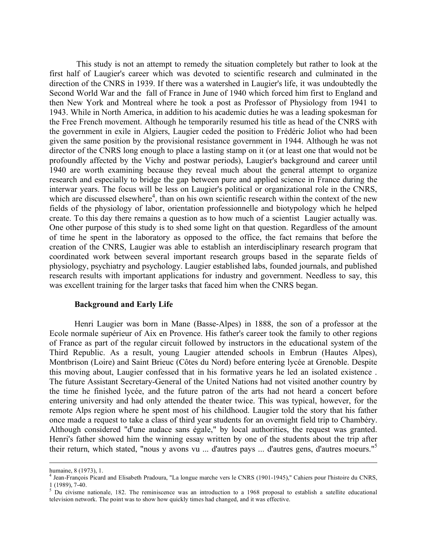This study is not an attempt to remedy the situation completely but rather to look at the first half of Laugier's career which was devoted to scientific research and culminated in the direction of the CNRS in 1939. If there was a watershed in Laugier's life, it was undoubtedly the Second World War and the fall of France in June of 1940 which forced him first to England and then New York and Montreal where he took a post as Professor of Physiology from 1941 to 1943. While in North America, in addition to his academic duties he was a leading spokesman for the Free French movement. Although he temporarily resumed his title as head of the CNRS with the government in exile in Algiers, Laugier ceded the position to Frédéric Joliot who had been given the same position by the provisional resistance government in 1944. Although he was not director of the CNRS long enough to place a lasting stamp on it (or at least one that would not be profoundly affected by the Vichy and postwar periods), Laugier's background and career until 1940 are worth examining because they reveal much about the general attempt to organize research and especially to bridge the gap between pure and applied science in France during the interwar years. The focus will be less on Laugier's political or organizational role in the CNRS, which are discussed elsewhere<sup>4</sup>, than on his own scientific research within the context of the new fields of the physiology of labor, orientation professionnelle and biotypology which he helped create. To this day there remains a question as to how much of a scientist Laugier actually was. One other purpose of this study is to shed some light on that question. Regardless of the amount of time he spent in the laboratory as opposed to the office, the fact remains that before the creation of the CNRS, Laugier was able to establish an interdisciplinary research program that coordinated work between several important research groups based in the separate fields of physiology, psychiatry and psychology. Laugier established labs, founded journals, and published research results with important applications for industry and government. Needless to say, this was excellent training for the larger tasks that faced him when the CNRS began.

#### **Background and Early Life**

Henri Laugier was born in Mane (Basse-Alpes) in 1888, the son of a professor at the Ecole normale supérieur of Aix en Provence. His father's career took the family to other regions of France as part of the regular circuit followed by instructors in the educational system of the Third Republic. As a result, young Laugier attended schools in Embrun (Hautes Alpes), Montbrison (Loire) and Saint Brieuc (Côtes du Nord) before entering lycée at Grenoble. Despite this moving about, Laugier confessed that in his formative years he led an isolated existence . The future Assistant Secretary-General of the United Nations had not visited another country by the time he finished lycée, and the future patron of the arts had not heard a concert before entering university and had only attended the theater twice. This was typical, however, for the remote Alps region where he spent most of his childhood. Laugier told the story that his father once made a request to take a class of third year students for an overnight field trip to Chambéry. Although considered "d'une audace sans égale," by local authorities, the request was granted. Henri's father showed him the winning essay written by one of the students about the trip after their return, which stated, "nous y avons vu ... d'autres pays ... d'autres gens, d'autres moeurs." 5

-

humaine, 8 (1973), 1.<br><sup>4</sup> Jean-François Picard and Elisabeth Pradoura, "La longue marche vers le CNRS (1901-1945)," Cahiers pour l'histoire du CNRS,

 $\frac{1}{5}$  (1989), 7-40.<br><sup>5</sup> Du civisme nationale, 182. The reminiscence was an introduction to a 1968 proposal to establish a satellite educational television network. The point was to show how quickly times had changed, and it was effective.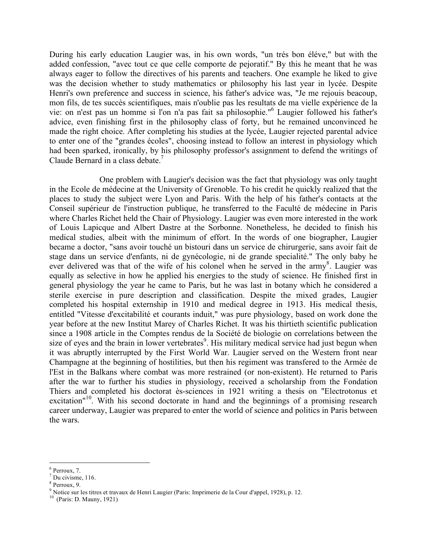During his early education Laugier was, in his own words, "un trés bon éléve," but with the added confession, "avec tout ce que celle comporte de pejoratif." By this he meant that he was always eager to follow the directives of his parents and teachers. One example he liked to give was the decision whether to study mathematics or philosophy his last year in lycée. Despite Henri's own preference and success in science, his father's advice was, "Je me rejouis beacoup, mon fils, de tes succès scientifiques, mais n'oublie pas les resultats de ma vielle expérience de la vie: on n'est pas un homme si l'on n'a pas fait sa philosophie." <sup>6</sup> Laugier followed his father's advice, even finishing first in the philosophy class of forty, but he remained unconvinced he made the right choice. After completing his studies at the lycée, Laugier rejected parental advice to enter one of the "grandes écoles", choosing instead to follow an interest in physiology which had been sparked, ironically, by his philosophy professor's assignment to defend the writings of Claude Bernard in a class debate. 7

One problem with Laugier's decision was the fact that physiology was only taught in the Ecole de médecine at the University of Grenoble. To his credit he quickly realized that the places to study the subject were Lyon and Paris. With the help of his father's contacts at the Conseil supérieur de l'instruction publique, he transferred to the Faculté de médecine in Paris where Charles Richet held the Chair of Physiology. Laugier was even more interested in the work of Louis Lapicque and Albert Dastre at the Sorbonne. Nonetheless, he decided to finish his medical studies, albeit with the minimum of effort. In the words of one biographer, Laugier became a doctor, "sans avoir touché un bistouri dans un service de chirurgerie, sans avoir fait de stage dans un service d'enfants, ni de gynécologie, ni de grande specialité." The only baby he ever delivered was that of the wife of his colonel when he served in the army<sup>8</sup>. Laugier was equally as selective in how he applied his energies to the study of science. He finished first in general physiology the year he came to Paris, but he was last in botany which he considered a sterile exercise in pure description and classification. Despite the mixed grades, Laugier completed his hospital externship in 1910 and medical degree in 1913. His medical thesis, entitled "Vitesse d'excitabilité et courants induit," was pure physiology, based on work done the year before at the new Institut Marey of Charles Richet. It was his thirtieth scientific publication since a 1908 article in the Comptes rendus de la Société de biologie on correlations between the size of eyes and the brain in lower vertebrates<sup>9</sup>. His military medical service had just begun when it was abruptly interrupted by the First World War. Laugier served on the Western front near Champagne at the beginning of hostilities, but then his regiment was transfered to the Armée de l'Est in the Balkans where combat was more restrained (or non-existent). He returned to Paris after the war to further his studies in physiology, received a scholarship from the Fondation Thiers and completed his doctorat ès-sciences in 1921 writing a thesis on "Electrotonus et excitation"<sup>10</sup>. With his second doctorate in hand and the beginnings of a promising research career underway, Laugier was prepared to enter the world of science and politics in Paris between the wars.

<sup>&</sup>lt;sup>6</sup> Perroux, 7.<br><sup>7</sup> Du civisme, 116.<br><sup>8</sup> Perroux, 9.<br><sup>9</sup> Notice sur les titres et travaux de Henri Laugier (Paris: Imprimerie de la Cour d'appel, 1928), p. 12.<br><sup>10</sup> (Paris: D. Mauny, 1921)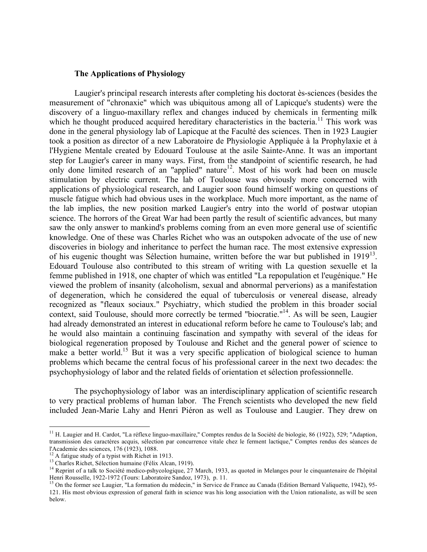#### **The Applications of Physiology**

Laugier's principal research interests after completing his doctorat ès-sciences (besides the measurement of "chronaxie" which was ubiquitous among all of Lapicque's students) were the discovery of a linguo-maxillary reflex and changes induced by chemicals in fermenting milk which he thought produced acquired hereditary characteristics in the bacteria.<sup>11</sup> This work was done in the general physiology lab of Lapicque at the Faculté des sciences. Then in 1923 Laugier took a position as director of a new Laboratoire de Physiologie Appliquée à la Prophylaxie et à l'Hygiene Mentale created by Edouard Toulouse at the asile Sainte-Anne. It was an important step for Laugier's career in many ways. First, from the standpoint of scientific research, he had only done limited research of an "applied" nature 12 . Most of his work had been on muscle stimulation by electric current. The lab of Toulouse was obviously more concerned with applications of physiological research, and Laugier soon found himself working on questions of muscle fatigue which had obvious uses in the workplace. Much more important, as the name of the lab implies, the new position marked Laugier's entry into the world of postwar utopian science. The horrors of the Great War had been partly the result of scientific advances, but many saw the only answer to mankind's problems coming from an even more general use of scientific knowledge. One of these was Charles Richet who was an outspoken advocate of the use of new discoveries in biology and inheritance to perfect the human race. The most extensive expression of his eugenic thought was Sélection humaine, written before the war but published in 1919<sup>13</sup>. Edouard Toulouse also contributed to this stream of writing with La question sexuelle et la femme published in 1918, one chapter of which was entitled "La repopulation et l'eugénique." He viewed the problem of insanity (alcoholism, sexual and abnormal perverions) as a manifestation of degeneration, which he considered the equal of tuberculosis or venereal disease, already recognized as "fleaux sociaux." Psychiatry, which studied the problem in this broader social context, said Toulouse, should more correctly be termed "biocratie."<sup>14</sup>. As will be seen, Laugier had already demonstrated an interest in educational reform before he came to Toulouse's lab; and he would also maintain a continuing fascination and sympathy with several of the ideas for biological regeneration proposed by Toulouse and Richet and the general power of science to make a better world.<sup>15</sup> But it was a very specific application of biological science to human problems which became the central focus of his professional career in the next two decades: the psychophysiology of labor and the related fields of orientation et sélection professionnelle.

The psychophysiology of labor was an interdisciplinary application of scientific research to very practical problems of human labor. The French scientists who developed the new field included Jean-Marie Lahy and Henri Piéron as well as Toulouse and Laugier. They drew on

<sup>&</sup>lt;sup>11</sup> H. Laugier and H. Cardot, "La réflexe linguo-maxillaire," Comptes rendus de la Société de biologie, 86 (1922), 529; "Adaption, transmission des caractères acquis, sélection par concurrence vitale chez le ferment lactique," Comptes rendus des séances de

<sup>&</sup>lt;sup>12</sup> A fatigue study of a typist with Richet in 1913.<br><sup>13</sup> Charles Richet, Sélection humaine (Félix Alcan, 1919).<br><sup>14</sup> Reprint of a talk to Société medico-pshycologique, 27 March, 1933, as quoted in Melanges pour le cinqu

<sup>&</sup>lt;sup>15</sup> On the former see Laugier, "La formation du médecin," in Service de France au Canada (Edition Bernard Valiquette, 1942), 95-121. His most obvious expression of general faith in science was his long association with the Union rationaliste, as will be seen below.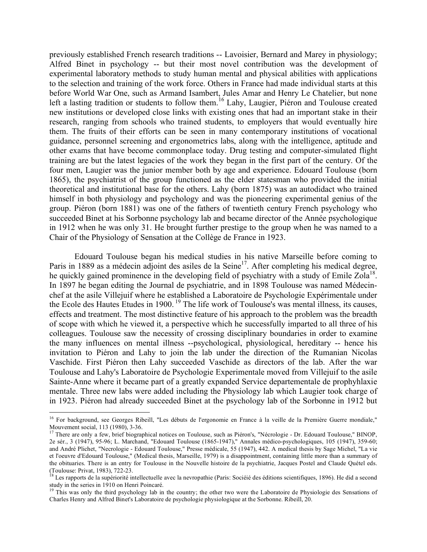previously established French research traditions -- Lavoisier, Bernard and Marey in physiology; Alfred Binet in psychology -- but their most novel contribution was the development of experimental laboratory methods to study human mental and physical abilities with applications to the selection and training of the work force. Others in France had made individual starts at this before World War One, such as Armand Isambert, Jules Amar and Henry Le Chatelier, but none left a lasting tradition or students to follow them.<sup>16</sup> Lahy, Laugier, Piéron and Toulouse created new institutions or developed close links with existing ones that had an important stake in their research, ranging from schools who trained students, to employers that would eventually hire them. The fruits of their efforts can be seen in many contemporary institutions of vocational guidance, personnel screening and ergonometrics labs, along with the intelligence, aptitude and other exams that have become commonplace today. Drug testing and computer-simulated flight training are but the latest legacies of the work they began in the first part of the century. Of the four men, Laugier was the junior member both by age and experience. Edouard Toulouse (born 1865), the psychiatrist of the group functioned as the elder statesman who provided the initial theoretical and institutional base for the others. Lahy (born 1875) was an autodidact who trained himself in both physiology and psychology and was the pioneering experimental genius of the group. Piéron (born 1881) was one of the fathers of twentieth century French psychology who succeeded Binet at his Sorbonne psychology lab and became director of the Année psychologique in 1912 when he was only 31. He brought further prestige to the group when he was named to a Chair of the Physiology of Sensation at the Collège de France in 1923.

Edouard Toulouse began his medical studies in his native Marseille before coming to Paris in 1889 as a médecin adjoint des asiles de la Seine<sup>17</sup>. After completing his medical degree, he quickly gained prominence in the developing field of psychiatry with a study of Emile Zola<sup>18</sup>. In 1897 he began editing the Journal de psychiatrie, and in 1898 Toulouse was named Médecinchef at the asile Villejuif where he established a Laboratoire de Psychologie Expérimentale under the Ecole des Hautes Etudes in 1900.<sup>19</sup> The life work of Toulouse's was mental illness, its causes, effects and treatment. The most distinctive feature of his approach to the problem was the breadth of scope with which he viewed it, a perspective which he successfully imparted to all three of his colleagues. Toulouse saw the necessity of crossing disciplinary boundaries in order to examine the many influences on mental illness --psychological, physiological, hereditary -- hence his invitation to Piéron and Lahy to join the lab under the direction of the Rumanian Nicolas Vaschide. First Piéron then Lahy succeeded Vaschide as directors of the lab. After the war Toulouse and Lahy's Laboratoire de Psychologie Experimentale moved from Villejuif to the asile Sainte-Anne where it became part of a greatly expanded Service departementale de prophyhlaxie mentale. Three new labs were added including the Physiology lab which Laugier took charge of in 1923. Piéron had already succeeded Binet at the psychology lab of the Sorbonne in 1912 but

<sup>&</sup>lt;sup>16</sup> For background, see Georges Ribeill, "Les débuts de l'ergonomie en France à la veille de la Première Guerre mondiale,"<br>Mouvement social. 113 (1980). 3-36.

<sup>&</sup>lt;sup>17</sup> There are only a few, brief biographical notices on Toulouse, such as Piéron's, "Nécrologie - Dr. Edouard Toulouse," BINOP, 2e sér., 3 (1947), 95-96; L. Marchand, "Edouard Toulouse (1865-1947)," Annales médico-psychologiques, 105 (1947), 359-60; and André Plichet, "Necrologie - Edouard Toulouse," Presse médicale, 55 (1947), 442. A medical thesis by Sage Michel, "La vie et l'oeuvre d'Edouard Toulouse," (Medical thesis, Marseille, 1979) is a disappointment, containing little more than a summary of the obituaries. There is an entry for Toulouse in the Nouvelle histoire de la psychiatrie, Jacques Postel and Claude Quétel eds.<br>(Toulouse: Privat, 1983), 722-23.

Les rapports de la supériorité intellectuelle avec la nevropathie (Paris: Sociéié des éditions scientifiques, 1896). He did a second study in the series in 1910 on Henri Poincaré.<br><sup>19</sup> This was only the third psychology lab in the country; the other two were the Laboratoire de Physiologie des Sensations of

Charles Henry and Alfred Binet's Laboratoire de psychologie physiologique at the Sorbonne. Ribeill, 20.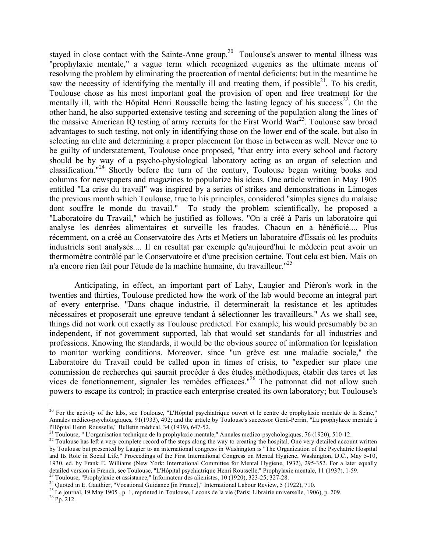stayed in close contact with the Sainte-Anne group.<sup>20</sup> Toulouse's answer to mental illness was "prophylaxie mentale," a vague term which recognized eugenics as the ultimate means of resolving the problem by eliminating the procreation of mental deficients; but in the meantime he saw the necessity of identifying the mentally ill and treating them, if possible $^{21}$ . To his credit, Toulouse chose as his most important goal the provision of open and free treatment for the mentally ill, with the Hôpital Henri Rousselle being the lasting legacy of his success<sup>22</sup>. On the other hand, he also supported extensive testing and screening of the population along the lines of the massive American IQ testing of army recruits for the First World War<sup>23</sup>. Toulouse saw broad advantages to such testing, not only in identifying those on the lower end of the scale, but also in selecting an elite and determining a proper placement for those in between as well. Never one to be guilty of understatement, Toulouse once proposed, "that entry into every school and factory should be by way of a psycho-physiological laboratory acting as an organ of selection and classification." <sup>24</sup> Shortly before the turn of the century, Toulouse began writing books and columns for newspapers and magazines to popularize his ideas. One article written in May 1905 entitled "La crise du travail" was inspired by a series of strikes and demonstrations in Limoges the previous month which Toulouse, true to his principles, considered "simples signes du malaise dont souffre le monde du travail." To study the problem scientifically, he proposed a "Laboratoire du Travail," which he justified as follows. "On a créé à Paris un laboratoire qui analyse les denrées alimentaires et surveille les fraudes. Chacun en a bénéficié.... Plus récemment, on a créé au Conservatoire des Arts et Metiers un laboratoire d'Essais où les produits industriels sont analysés.... Il en resultat par exemple qu'aujourd'hui le médecin peut avoir un thermométre contrôlé par le Conservatoire et d'une precision certaine. Tout cela est bien. Mais on n'a encore rien fait pour l'étude de la machine humaine, du travailleur."<sup>25</sup>

Anticipating, in effect, an important part of Lahy, Laugier and Piéron's work in the twenties and thirties, Toulouse predicted how the work of the lab would become an integral part of every enterprise. "Dans chaque industrie, il determinerait la resistance et les aptitudes nécessaires et proposerait une epreuve tendant à sélectionner les travailleurs." As we shall see, things did not work out exactly as Toulouse predicted. For example, his would presumably be an independent, if not government supported, lab that would set standards for all industries and professions. Knowing the standards, it would be the obvious source of information for legislation to monitor working conditions. Moreover, since "un grève est une maladie sociale," the Laboratoire du Travail could be called upon in times of crisis, to "expedier sur place une commission de recherches qui saurait procéder à des études méthodiques, établir des tares et les vices de fonctionnement, signaler les remèdes efficaces."<sup>26</sup> The patronnat did not allow such powers to escape its control; in practice each enterprise created its own laboratory; but Toulouse's

<sup>&</sup>lt;sup>20</sup> For the activity of the labs, see Toulouse, "L'Hôpital psychiatrique ouvert et le centre de prophylaxie mentale de la Seine," Annales médico-psychologiques, 91(1933), 492; and the article by Toulouse's successor Genil-Perrin, "La prophylaxie mentale à l'Hôpital Henri Rousselle," Bulletin médical, 34 (1939), 647-52.

<sup>&</sup>lt;sup>21</sup> Toulouse, "L'organisation technique de la prophylaxie mentale," Annales medico-psychologiques, 76 (1920), 510-12.<br><sup>22</sup> Toulouse has left a very complete record of the steps along the way to creating the hospital. One by Toulouse but presented by Laugier to an international congress in Washington is "The Organization of the Psychatric Hospital and Its Role in Social Life," Proceedings of the First International Congress on Mental Hygiene, Washington, D.C., May 5-10, 1930, ed. by Frank E. Williams (New York: International Committee for Mental Hygiene, 1932), 295-352. For a later equally detailed version in French, see Toulouse, "L'Hôpital psychiatrique Henri Rousselle," Prophylaxie men

<sup>&</sup>lt;sup>23</sup> Toulouse, "Prophylaxie et assistance," Informateur des alienistes, 10 (1920), 323-25; 327-28.<br><sup>24</sup> Quoted in E. Gauthier, "Vocational Guidance [in France]," International Labour Review, 5 (1922), 710.<br><sup>25</sup> Le journal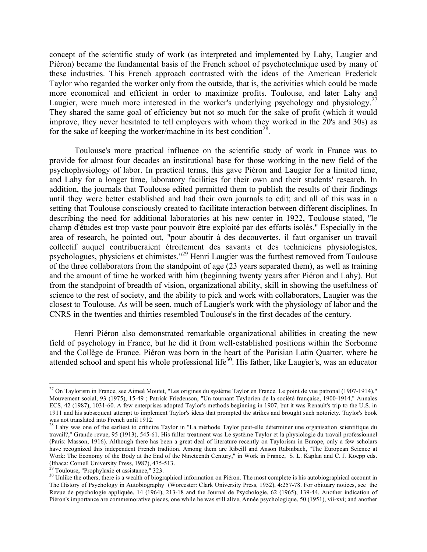concept of the scientific study of work (as interpreted and implemented by Lahy, Laugier and Piéron) became the fundamental basis of the French school of psychotechnique used by many of these industries. This French approach contrasted with the ideas of the American Frederick Taylor who regarded the worker only from the outside, that is, the activities which could be made more economical and efficient in order to maximize profits. Toulouse, and later Lahy and Laugier, were much more interested in the worker's underlying psychology and physiology.<sup>27</sup> They shared the same goal of efficiency but not so much for the sake of profit (which it would improve, they never hesitated to tell employers with whom they worked in the 20's and 30s) as for the sake of keeping the worker/machine in its best condition<sup>28</sup>.

Toulouse's more practical influence on the scientific study of work in France was to provide for almost four decades an institutional base for those working in the new field of the psychophysiology of labor. In practical terms, this gave Piéron and Laugier for a limited time, and Lahy for a longer time, laboratory facilities for their own and their students' research. In addition, the journals that Toulouse edited permitted them to publish the results of their findings until they were better established and had their own journals to edit; and all of this was in a setting that Toulouse consciously created to facilitate interaction between different disciplines. In describing the need for additional laboratories at his new center in 1922, Toulouse stated, "le champ d'études est trop vaste pour pouvoir être exploité par des efforts isolés." Especially in the area of research, he pointed out, "pour aboutir à des decouvertes, il faut organiser un travail collectif auquel contribueraient étroitement des savants et des techniciens physiologistes, psychologues, physiciens et chimistes."<sup>29</sup> Henri Laugier was the furthest removed from Toulouse of the three collaborators from the standpoint of age (23 years separated them), as well as training and the amount of time he worked with him (beginning twenty years after Piéron and Lahy). But from the standpoint of breadth of vision, organizational ability, skill in showing the usefulness of science to the rest of society, and the ability to pick and work with collaborators, Laugier was the closest to Toulouse. As will be seen, much of Laugier's work with the physiology of labor and the CNRS in the twenties and thirties resembled Toulouse's in the first decades of the century.

Henri Piéron also demonstrated remarkable organizational abilities in creating the new field of psychology in France, but he did it from well-established positions within the Sorbonne and the Collège de France. Piéron was born in the heart of the Parisian Latin Quarter, where he attended school and spent his whole professional life<sup>30</sup>. His father, like Laugier's, was an educator

 $^{27}$  On Taylorism in France, see Aimeé Moutet, "Les origines du système Taylor en France. Le point de vue patronal (1907-1914)," Mouvement social, 93 (1975), 15-49 ; Patrick Friedenson, "Un tournant Taylorien de la société française, 1900-1914," Annales ECS, 42 (1987), 1031-60. A few enterprises adopted Taylor's methods beginning in 1907, but it was Renault's trip to the U.S. in 1911 and his subsequent attempt to implement Taylor's ideas that prompted the strikes and brought such notoriety. Taylor's book was not translated into French until 1912.<br><sup>28</sup> Lahy was one of the earliest to criticize Taylor in "La méthode Taylor peut-elle déterminer une organisation scientifique du

travail?," Grande revue, 95 (1913), 545-61. His fuller treatment was Le système Taylor et la physiologie du travail professionnel (Paris: Masson, 1916). Although there has been a great deal of literature recently on Taylorism in Europe, only a few scholars have recognized this independent French tradition. Among them are Ribeill and Anson Rabinbach, "The European Science at Work: The Economy of the Body at the End of the Nineteenth Century," in Work in France, S. L. Kaplan and C. J. Koepp eds. (Ithaca: Cornell University Press, 1987), 475-513.<br><sup>29</sup> Toulouse, "Prophylaxie et assistance," 323.<br><sup>30</sup> Unlike the others, there is a wealth of biographical information on Piéron. The most complete is his autobiographica

The History of Psychology in Autobiography (Worcester: Clark University Press, 1952), 4:257-78. For obituary notices, see the Revue de psychologie appliquée, 14 (1964), 213-18 and the Journal de Psychologie, 62 (1965), 139-44. Another indication of Piéron's importance are commemorative pieces, one while he was still alive, Année psychologique, 50 (1951), vii-xvi; and another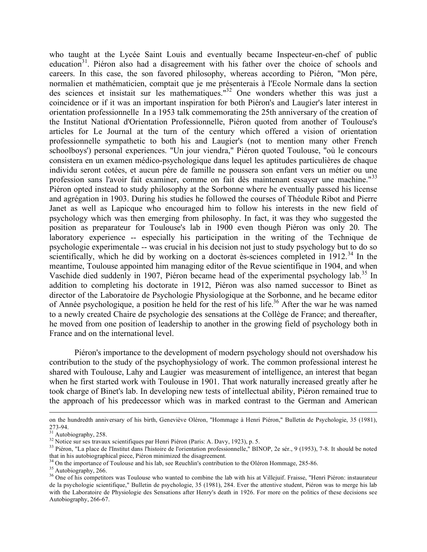who taught at the Lycée Saint Louis and eventually became Inspecteur-en-chef of public education<sup>31</sup>. Piéron also had a disagreement with his father over the choice of schools and careers. In this case, the son favored philosophy, whereas according to Piéron, "Mon pére, normalien et mathématicien, comptait que je me présenterais à l'Ecole Normale dans la section des sciences et insistait sur les mathematiques." <sup>32</sup> One wonders whether this was just a coincidence or if it was an important inspiration for both Piéron's and Laugier's later interest in orientation professionnelle In a 1953 talk commemorating the 25th anniversary of the creation of the Institut National d'Orientation Professionnelle, Piéron quoted from another of Toulouse's articles for Le Journal at the turn of the century which offered a vision of orientation professionnelle sympathetic to both his and Laugier's (not to mention many other French schoolboys') personal experiences. "Un jour viendra," Piéron quoted Toulouse, "où le concours consistera en un examen médico-psychologique dans lequel les aptitudes particulières de chaque individu seront cotées, et aucun pére de famille ne poussera son enfant vers un métier ou une profession sans l'avoir fait examiner, comme on fait dès maintenant essayer une machine."<sup>33</sup> Piéron opted instead to study philosophy at the Sorbonne where he eventually passed his license and agrégation in 1903. During his studies he followed the courses of Théodule Ribot and Pierre Janet as well as Lapicque who encouraged him to follow his interests in the new field of psychology which was then emerging from philosophy. In fact, it was they who suggested the position as preparateur for Toulouse's lab in 1900 even though Piéron was only 20. The laboratory experience -- especially his participation in the writing of the Technique de psychologie experimentale -- was crucial in his decision not just to study psychology but to do so scientifically, which he did by working on a doctorat ès-sciences completed in  $1912$ <sup>34</sup>. In the meantime, Toulouse appointed him managing editor of the Revue scientifique in 1904, and when Vaschide died suddenly in 1907, Piéron became head of the experimental psychology lab.<sup>35</sup> In addition to completing his doctorate in 1912, Piéron was also named successor to Binet as director of the Laboratoire de Psychologie Physiologique at the Sorbonne, and he became editor of Année psychologique, a position he held for the rest of his life. <sup>36</sup> After the war he was named to a newly created Chaire de psychologie des sensations at the Collège de France; and thereafter, he moved from one position of leadership to another in the growing field of psychology both in France and on the international level.

Piéron's importance to the development of modern psychology should not overshadow his contribution to the study of the psychophysiology of work. The common professional interest he shared with Toulouse, Lahy and Laugier was measurement of intelligence, an interest that began when he first started work with Toulouse in 1901. That work naturally increased greatly after he took charge of Binet's lab. In developing new tests of intellectual ability, Piéron remained true to the approach of his predecessor which was in marked contrast to the German and American

<u>.</u>

on the hundredth anniversary of his birth, Geneviève Oléron, "Hommage à Henri Piéron," Bulletin de Psychologie, 35 (1981),

<sup>273-94.&</sup>lt;br><sup>31</sup> Autobiography, 258.<br><sup>32</sup> Notice sur ses travaux scientifiques par Henri Piéron (Paris: A. Davy, 1923), p. 5.<br><sup>32</sup> Piéron, "La place de l'Institut dans l'histoire de l'orientation professionnelle," BINOP, 2e sé

<sup>&</sup>lt;sup>34</sup> On the importance of Toulouse and his lab, see Reuchlin's contribution to the Oléron Hommage, 285-86.<br><sup>35</sup> Autobiography, 266.<br><sup>36</sup> One of his competitors was Toulouse who wanted to combine the lab with his at Villej de la psychologie scientifique," Bulletin de psychologie, 35 (1981), 284. Ever the attentive student, Piéron was to merge his lab with the Laboratoire de Physiologie des Sensations after Henry's death in 1926. For more on the politics of these decisions see Autobiography, 266-67.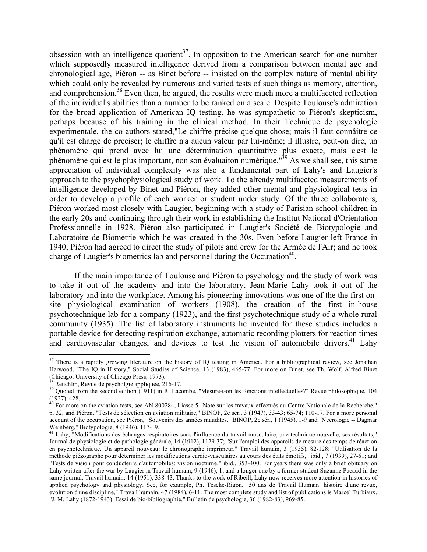obsession with an intelligence quotient<sup>37</sup>. In opposition to the American search for one number which supposedly measured intelligence derived from a comparison between mental age and chronological age, Piéron -- as Binet before -- insisted on the complex nature of mental ability which could only be revealed by numerous and varied tests of such things as memory, attention, and comprehension.<sup>38</sup> Even then, he argued, the results were much more a multifaceted reflection of the individual's abilities than a number to be ranked on a scale. Despite Toulouse's admiration for the broad application of American IQ testing, he was sympathetic to Piéron's skepticism, perhaps because of his training in the clinical method. In their Technique de psychologie experimentale, the co-authors stated,"Le chiffre précise quelque chose; mais il faut connâitre ce qu'il est chargé de préciser; le chiffre n'a aucun valeur par lui-même; il illustre, peut-on dire, un phénomène qui prend avec lui une détermination quantitative plus exacte, mais c'est le phénomène qui est le plus important, non son évaluaiton numérique."<sup>39</sup> As we shall see, this same appreciation of individual complexity was also a fundamental part of Lahy's and Laugier's approach to the psychophysiological study of work. To the already multifaceted measurements of intelligence developed by Binet and Piéron, they added other mental and physiological tests in order to develop a profile of each worker or student under study. Of the three collaborators, Piéron worked most closely with Laugier, beginning with a study of Parisian school children in the early 20s and continuing through their work in establishing the Institut National d'Orientation Professionnelle in 1928. Piéron also participated in Laugier's Société de Biotypologie and Laboratoire de Biometrie which he was created in the 30s. Even before Laugier left France in 1940, Piéron had agreed to direct the study of pilots and crew for the Armée de l'Air; and he took charge of Laugier's biometrics lab and personnel during the Occupation<sup>40</sup>.

If the main importance of Toulouse and Piéron to psychology and the study of work was to take it out of the academy and into the laboratory, Jean-Marie Lahy took it out of the laboratory and into the workplace. Among his pioneering innovations was one of the the first onsite physiological examination of workers (1908), the creation of the first in-house psychotechnique lab for a company (1923), and the first psychotechnique study of a whole rural community (1935). The list of laboratory instruments he invented for these studies includes a portable device for detecting respiration exchange, automatic recording plotters for reaction times and cardiovascular changes, and devices to test the vision of automobile drivers.<sup>41</sup> Lahy

<sup>&</sup>lt;sup>37</sup> There is a rapidly growing literature on the history of IQ testing in America. For a bibliographical review, see Jonathan Harwood, "The IQ in History," Social Studies of Science, 13 (1983), 465-77. For more on Binet, see Th. Wolf, Alfred Binet

<sup>(</sup>Chicago: University of Chicago Press, 1973).<br><sup>38</sup> Reuchlin, Revue de psycholgie appliquée, 216-17.<br><sup>39</sup> Quoted from the second edition (1911) in R. Lacombe, "Mesure-t-on les fonctions intellectuelles?" Revue philosophiqu

 $^0$  For more on the aviation tests, see AN 800284, Liasse 5 "Note sur les travaux effectués au Centre Nationale de la Recherche," p. 32; and Piéron, "Tests de sélection en aviation militaire," BINOP, 2e sér., 3 (1947), 33-43; 65-74; 110-17. For a more personal account of the occupation, see Piéron, "Souvenirs des années maudites," BINOP, 2e sér., 1 (1945), 1-9 and "Necrologie -- Dagmar Weinberg," Biotypologie, 8 (1946), 117-19.<br><sup>41</sup> Lahy, "Modifications des échanges respiratoires sous l'influence du travail musculaire, une technique nouvelle, ses résultats,"

Journal de physiologie et de pathologie générale, 14 (1912), 1129-37; "Sur l'emploi des appareils de mesure des temps de réaction en psychotechnique. Un appareil nouveau: le chronographe imprimeur," Travail humain, 3 (1935), 82-128; "Utilisation de la méthode piézographe pour déterminer les modifications cardio-vasculaires au cours des états émotifs," ibid., 7 (1939), 27-61; and "Tests de vision pour conducteurs d'automobiles: vision nocturne," ibid., 353-400. For years there was only a brief obituary on Lahy written after the war by Laugier in Travail humain, 9 (1946), 1; and a longer one by a former student Suzanne Pacaud in the same journal, Travail humain, 14 (1951), 338-43. Thanks to the work of Ribeill, Lahy now receives more attention in histories of applied psychology and physiology. See, for example, Ph. Tesche-Rigon, "50 ans de Travail Humain: histoire d'une revue, evolution d'une discipline," Travail humain, 47 (1984), 6-11. The most complete study and list of publications is Marcel Turbiaux, "J. M. Lahy (1872-1943): Essai de bio-bibliographie," Bulletin de psychologie, 36 (1982-83), 969-85.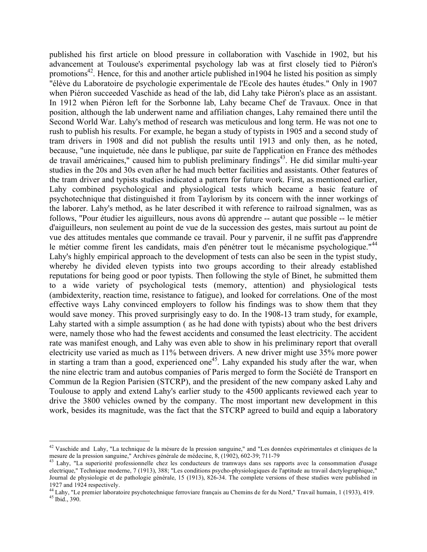published his first article on blood pressure in collaboration with Vaschide in 1902, but his advancement at Toulouse's experimental psychology lab was at first closely tied to Piéron's promotions<sup>42</sup>. Hence, for this and another article published in1904 he listed his position as simply "élève du Laboratoire de psychologie experimentale de l'Ecole des hautes études." Only in 1907 when Piéron succeeded Vaschide as head of the lab, did Lahy take Piéron's place as an assistant. In 1912 when Piéron left for the Sorbonne lab, Lahy became Chef de Travaux. Once in that position, although the lab underwent name and affiliation changes, Lahy remained there until the Second World War. Lahy's method of research was meticulous and long term. He was not one to rush to publish his results. For example, he began a study of typists in 1905 and a second study of tram drivers in 1908 and did not publish the results until 1913 and only then, as he noted, because, "une inquietude, née dans le publique, par suite de l'application en France des méthodes de travail américaines," caused him to publish preliminary findings<sup>43</sup>. He did similar multi-year studies in the 20s and 30s even after he had much better facilities and assistants. Other features of the tram driver and typists studies indicated a pattern for future work. First, as mentioned earlier, Lahy combined psychological and physiological tests which became a basic feature of psychotechnique that distinguished it from Taylorism by its concern with the inner workings of the laborer. Lahy's method, as he later described it with reference to railroad signalmen, was as follows, "Pour étudier les aiguilleurs, nous avons dû apprendre -- autant que possible -- le métier d'aiguilleurs, non seulement au point de vue de la succession des gestes, mais surtout au point de vue des attitudes mentales que commande ce travail. Pour y parvenir, il ne suffit pas d'apprendre le métier comme firent les candidats, mais d'en pénétrer tout le mécanisme psychologique."<sup>44</sup> Lahy's highly empirical approach to the development of tests can also be seen in the typist study, whereby he divided eleven typists into two groups according to their already established reputations for being good or poor typists. Then following the style of Binet, he submitted them to a wide variety of psychological tests (memory, attention) and physiological tests (ambidexterity, reaction time, resistance to fatigue), and looked for correlations. One of the most effective ways Lahy convinced employers to follow his findings was to show them that they would save money. This proved surprisingly easy to do. In the 1908-13 tram study, for example, Lahy started with a simple assumption ( as he had done with typists) about who the best drivers were, namely those who had the fewest accidents and consumed the least electricity. The accident rate was manifest enough, and Lahy was even able to show in his preliminary report that overall electricity use varied as much as 11% between drivers. A new driver might use 35% more power in starting a tram than a good, experienced one<sup>45</sup>. Lahy expanded his study after the war, when the nine electric tram and autobus companies of Paris merged to form the Société de Transport en Commun de la Region Parisien (STCRP), and the president of the new company asked Lahy and Toulouse to apply and extend Lahy's earlier study to the 4500 applicants reviewed each year to drive the 3800 vehicles owned by the company. The most important new development in this work, besides its magnitude, was the fact that the STCRP agreed to build and equip a laboratory

<sup>&</sup>lt;sup>42</sup> Vaschide and Lahy, "La technique de la mésure de la pression sanguine," and "Les données expérimentales et cliniques de la mesure de la pression sanguine," Archives générale de médecine, 8, (1902), 602-39; 711-79

 $^{43}$  Lahy, "La superiorité professionnelle chez les conducteurs de tramways dans ses rapports avec la consommation d'usage electrique," Technique moderne, 7 (1913), 388; "Les conditions psycho-physiologiques de l'aptitude au travail dactylographique," Journal de physiologie et de pathologie générale, 15 (1913), 826-34. The complete versions of these studies were published in

<sup>1927</sup> and 1924 respectively.<br><sup>44</sup> Lahy, "Le premier laboratoire psychotechnique ferroviare français au Chemins de fer du Nord," Travail humain, 1 (1933), 419.<br><sup>45</sup> Ibid., 390.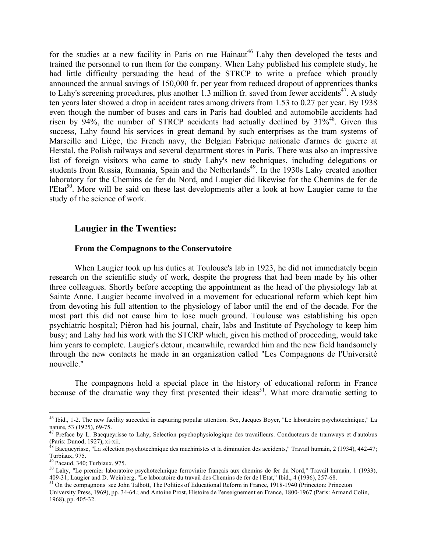for the studies at a new facility in Paris on rue  $\text{Hainaut}^{46}$  Lahy then developed the tests and trained the personnel to run them for the company. When Lahy published his complete study, he had little difficulty persuading the head of the STRCP to write a preface which proudly announced the annual savings of 150,000 fr. per year from reduced dropout of apprentices thanks to Lahy's screening procedures, plus another 1.3 million fr. saved from fewer accidents<sup>47</sup>. A study ten years later showed a drop in accident rates among drivers from 1.53 to 0.27 per year. By 1938 even though the number of buses and cars in Paris had doubled and automobile accidents had risen by  $94\%$ , the number of STRCP accidents had actually declined by  $31\%^{48}$ . Given this success, Lahy found his services in great demand by such enterprises as the tram systems of Marseille and Liége, the French navy, the Belgian Fabrique nationale d'armes de guerre at Herstal, the Polish railways and several department stores in Paris. There was also an impressive list of foreign visitors who came to study Lahy's new techniques, including delegations or students from Russia, Rumania, Spain and the Netherlands<sup>49</sup>. In the 1930s Lahy created another laboratory for the Chemins de fer du Nord, and Laugier did likewise for the Chemins de fer de l'Etat<sup>50</sup>. More will be said on these last developments after a look at how Laugier came to the study of the science of work.

### **Laugier in the Twenties:**

#### **From the Compagnons to the Conservatoire**

When Laugier took up his duties at Toulouse's lab in 1923, he did not immediately begin research on the scientific study of work, despite the progress that had been made by his other three colleagues. Shortly before accepting the appointment as the head of the physiology lab at Sainte Anne, Laugier became involved in a movement for educational reform which kept him from devoting his full attention to the physiology of labor until the end of the decade. For the most part this did not cause him to lose much ground. Toulouse was establishing his open psychiatric hospital; Piéron had his journal, chair, labs and Institute of Psychology to keep him busy; and Lahy had his work with the STCRP which, given his method of proceeding, would take him years to complete. Laugier's detour, meanwhile, rewarded him and the new field handsomely through the new contacts he made in an organization called "Les Compagnons de l'Université nouvelle."

The compagnons hold a special place in the history of educational reform in France because of the dramatic way they first presented their ideas<sup>51</sup>. What more dramatic setting to

<sup>46</sup> Ibid., 1-2. The new facility succeded in capturing popular attention. See, Jacques Boyer, "Le laboratoire psychotechnique," La

nature, 53 (1925), 69-75.<br><sup>47</sup> Preface by L. Bacqueyrisse to Lahy, Selection psychophysiologique des travailleurs. Conducteurs de tramways et d'autobus<br>(Paris: Dunod, 1927), xi-xii.

<sup>&</sup>lt;sup>48</sup> Bacqueyrisse, "La sélection psychotechnique des machinistes et la diminution des accidents," Travail humain, 2 (1934), 442-47; Turbiaux, 975.

<sup>&</sup>lt;sup>49</sup> Pacaud, 340; Turbiaux, 975.<br><sup>50</sup> Lahy, "Le premier laboratoire psychotechnique ferroviaire français aux chemins de fer du Nord," Travail humain, 1 (1933), 409-31; Laugier and D. Weinberg, "Le laboratoire du travail des Chemins de fer de l'Etat," Ibid., 4 (1936), 257-68.<br><sup>51</sup> On the compagnons see John Talbott, The Politics of Educational Reform in France, 1918-1940 (Princeto

University Press, 1969), pp. 34-64.; and Antoine Prost, Histoire de l'enseignement en France, 1800-1967 (Paris: Armand Colin, 1968), pp. 405-32.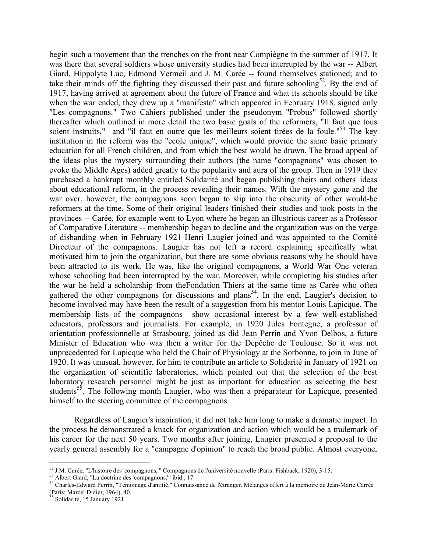begin such a movement than the trenches on the front near Compiègne in the summer of 1917. It was there that several soldiers whose university studies had been interrupted by the war -- Albert Giard, Hippolyte Luc, Edmond Vermeil and J. M. Carée -- found themselves stationed; and to take their minds off the fighting they discussed their past and future schooling<sup>52</sup>. By the end of 1917, having arrived at agreement about the future of France and what its schools should be like when the war ended, they drew up a "manifesto" which appeared in February 1918, signed only "Les compagnons." Two Cahiers published under the pseudonym "Probus" followed shortly thereafter which outlined in more detail the two basic goals of the reformers, "Il faut que tous soient instruits," and "il faut en outre que les meilleurs soient tirées de la foule."<sup>53</sup> The key institution in the reform was the "ecole unique", which would provide the same basic primary education for all French children, and from which the best would be drawn. The broad appeal of the ideas plus the mystery surrounding their authors (the name "compagnons" was chosen to evoke the Middle Ages) added greatly to the popularity and aura of the group. Then in 1919 they purchased a bankrupt monthly entitled Solidarité and began publishing theirs and others' ideas about educational reform, in the process revealing their names. With the mystery gone and the war over, however, the compagnons soon began to slip into the obscurity of other would-be reformers at the time. Some of their original leaders finished their studies and took posts in the provinces -- Carée, for example went to Lyon where he began an illustrious career as a Professor of Comparative Literature -- membership began to decline and the organization was on the verge of disbanding when in February 1921 Henri Laugier joined and was appointed to the Comité Directeur of the compagnons. Laugier has not left a record explaining specifically what motivated him to join the organization, but there are some obvious reasons why he should have been attracted to its work. He was, like the original compagnons, a World War One veteran whose schooling had been interrupted by the war. Moreover, while completing his studies after the war he held a scholarship from theFondation Thiers at the same time as Carée who often gathered the other compagnons for discussions and plans<sup>54</sup>. In the end, Laugier's decision to become involved may have been the result of a suggestion from his mentor Louis Lapicque. The membership lists of the compagnons show occasional interest by a few well-established educators, professors and journalists. For example, in 1920 Jules Fontegne, a professor of orientation professionnelle at Strasbourg, joined as did Jean Perrin and Yvon Delbos, a future Minister of Education who was then a writer for the Depêche de Toulouse. So it was not unprecedented for Lapicque who held the Chair of Physiology at the Sorbonne, to join in June of 1920. It was unusual, however, for him to contribute an article to Solidarité in January of 1921 on the organization of scientific laboratories, which pointed out that the selection of the best laboratory research personnel might be just as important for education as selecting the best students<sup>55</sup>. The following month Laugier, who was then a préparateur for Lapicque, presented himself to the steering committee of the compagnons.

Regardless of Laugier's inspiration, it did not take him long to make a dramatic impact. In the process he demonstrated a knack for organization and action which would be a trademark of his career for the next 50 years. Two months after joining, Laugier presented a proposal to the yearly general assembly for a "campagne d'opinion" to reach the broad public. Almost everyone,

<sup>&</sup>lt;sup>52</sup> J.M. Carée, "L'histoire des 'compagnons," Compagnons de l'université nouvelle (Paris: Fishback, 1920), 3-15.<br><sup>53</sup> Albert Giard, "La doctrine des 'compagnons," ibid., 17.<br><sup>54</sup> Charles-Edward Perrin, "Temoinage d'amiti (Paris: Marcel Didier, 1964), 40. <sup>55</sup> Solidarite, <sup>15</sup> January 1921.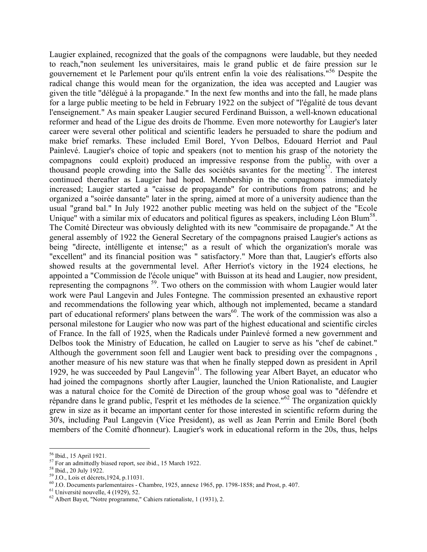Laugier explained, recognized that the goals of the compagnons were laudable, but they needed to reach,"non seulement les universitaires, mais le grand public et de faire pression sur le gouvernement et le Parlement pour qu'ils entrent enfin la voie des réalisations." <sup>56</sup> Despite the radical change this would mean for the organization, the idea was accepted and Laugier was given the title "délégué à la propagande." In the next few months and into the fall, he made plans for a large public meeting to be held in February 1922 on the subject of "l'égalité de tous devant l'enseignement." As main speaker Laugier secured Ferdinand Buisson, a well-known educational reformer and head of the Ligue des droits de l'homme. Even more noteworthy for Laugier's later career were several other political and scientific leaders he persuaded to share the podium and make brief remarks. These included Emil Borel, Yvon Delbos, Edouard Herriot and Paul Painlevé. Laugier's choice of topic and speakers (not to mention his grasp of the notoriety the compagnons could exploit) produced an impressive response from the public, with over a thousand people crowding into the Salle des sociétés savantes for the meeting<sup>57</sup>. The interest continued thereafter as Laugier had hoped. Membership in the compagnons immediately increased; Laugier started a "caisse de propagande" for contributions from patrons; and he organized a "soirée dansante" later in the spring, aimed at more of a university audience than the usual "grand bal." In July 1922 another public meeting was held on the subject of the "Ecole Unique" with a similar mix of educators and political figures as speakers, including Léon Blum<sup>58</sup>. The Comité Directeur was obviously delighted with its new "commisaire de propagande." At the general assembly of 1922 the General Secretary of the compagnons praised Laugier's actions as being "directe, intélligente et intense;" as a result of which the organization's morale was "excellent" and its financial position was " satisfactory." More than that, Laugier's efforts also showed results at the governmental level. After Herriot's victory in the 1924 elections, he appointed a "Commission de l'école unique" with Buisson at its head and Laugier, now president, representing the compagnons<sup>59</sup>. Two others on the commission with whom Laugier would later work were Paul Langevin and Jules Fontegne. The commission presented an exhaustive report and recommendations the following year which, although not implemented, became a standard part of educational reformers' plans between the wars<sup>60</sup>. The work of the commission was also a personal milestone for Laugier who now was part of the highest educational and scientific circles of France. In the fall of 1925, when the Radicals under Painlevé formed a new government and Delbos took the Ministry of Education, he called on Laugier to serve as his "chef de cabinet." Although the government soon fell and Laugier went back to presiding over the compagnons , another measure of his new stature was that when he finally stepped down as president in April 1929, he was succeeded by Paul Langevin<sup>61</sup>. The following year Albert Bayet, an educator who had joined the compagnons shortly after Laugier, launched the Union Rationaliste, and Laugier was a natural choice for the Comité de Direction of the group whose goal was to "défendre et répandre dans le grand public, l'esprit et les méthodes de la science."<sup>62</sup> The organization quickly grew in size as it became an important center for those interested in scientific reform during the 30's, including Paul Langevin (Vice President), as well as Jean Perrin and Emile Borel (both members of the Comité d'honneur). Laugier's work in educational reform in the 20s, thus, helps

<sup>&</sup>lt;sup>56</sup> Ibid., 15 April 1921.<br><sup>57</sup> For an admittedly biased report, see ibid., 15 March 1922.<br><sup>58</sup> Ibid., 20 July 1922.<br><sup>59</sup> J.O., Lois et décrets, 1924, p.11031.<br><sup>60</sup> J.O. Documents parlementaires - Chambre, 1925, annexe 19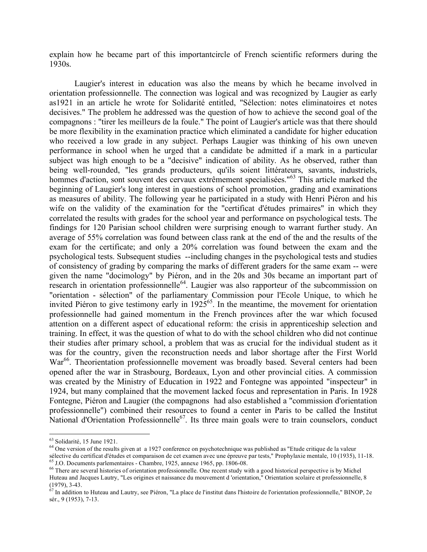explain how he became part of this importantcircle of French scientific reformers during the 1930s.

Laugier's interest in education was also the means by which he became involved in orientation professionnelle. The connection was logical and was recognized by Laugier as early as1921 in an article he wrote for Solidarité entitled, "Sélection: notes eliminatoires et notes decisives." The problem he addressed was the question of how to achieve the second goal of the compagnons : "tirer les meilleurs de la foule." The point of Laugier's article was that there should be more flexibility in the examination practice which eliminated a candidate for higher education who received a low grade in any subject. Perhaps Laugier was thinking of his own uneven performance in school when he urged that a candidate be admitted if a mark in a particular subject was high enough to be a "decisive" indication of ability. As he observed, rather than being well-rounded, "les grands producteurs, qu'ils soient littérateurs, savants, industriels, hommes d'action, sont souvent des cervaux extrêmement specialisées."<sup>63</sup> This article marked the beginning of Laugier's long interest in questions of school promotion, grading and examinations as measures of ability. The following year he participated in a study with Henri Piéron and his wife on the validity of the examination for the "certificat d'études primaires" in which they correlated the results with grades for the school year and performance on psychological tests. The findings for 120 Parisian school children were surprising enough to warrant further study. An average of 55% correlation was found between class rank at the end of the and the results of the exam for the certificate; and only a 20% correlation was found between the exam and the psychological tests. Subsequent studies --including changes in the psychological tests and studies of consistency of grading by comparing the marks of different graders for the same exam -- were given the name "docimology" by Piéron, and in the 20s and 30s became an important part of research in orientation professionnelle<sup>64</sup>. Laugier was also rapporteur of the subcommission on "orientation - sélection" of the parliamentary Commission pour l'Ecole Unique, to which he invited Piéron to give testimony early in  $1925^{65}$ . In the meantime, the movement for orientation professionnelle had gained momentum in the French provinces after the war which focused attention on a different aspect of educational reform: the crisis in apprenticeship selection and training. In effect, it was the question of what to do with the school children who did not continue their studies after primary school, a problem that was as crucial for the individual student as it was for the country, given the reconstruction needs and labor shortage after the First World War<sup>66</sup>. Theorientation professionnelle movement was broadly based. Several centers had been opened after the war in Strasbourg, Bordeaux, Lyon and other provincial cities. A commission was created by the Ministry of Education in 1922 and Fontegne was appointed "inspecteur" in 1924, but many complained that the movement lacked focus and representation in Paris. In 1928 Fontegne, Piéron and Laugier (the compagnons had also established a "commission d'orientation professionnelle") combined their resources to found a center in Paris to be called the Institut National d'Orientation Professionnelle<sup>67</sup>. Its three main goals were to train counselors, conduct

<sup>&</sup>lt;sup>63</sup> Solidarité, 15 June 1921.<br><sup>64</sup> One version of the results given at a 1927 conference on psychotechnique was published as "Etude critique de la valeur<br>sélective du certificat d'études et comparaison de cet examen avec

 $^{65}$  J.O. Documents parlementaires - Chambre, 1925, annexe 1965, pp. 1806-08.<br> $^{66}$  There are several histories of orientation professionnelle. One recent study with a good historical perspective is by Michel Huteau and Jacques Lautry, "Les origines et naissance du mouvement d 'orientation," Orientation scolaire et professionnelle, 8

<sup>(1979), 3-43.&</sup>lt;br> $67$  In addition to Huteau and Lautry, see Piéron, "La place de l'institut dans l'histoire de l'orientation professionnelle," BINOP, 2e sér., 9 (1953), 7-13.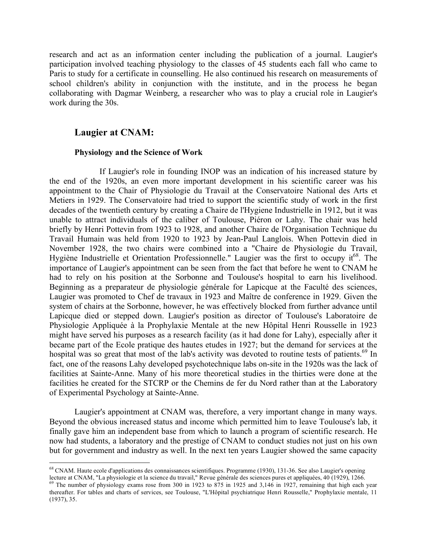research and act as an information center including the publication of a journal. Laugier's participation involved teaching physiology to the classes of 45 students each fall who came to Paris to study for a certificate in counselling. He also continued his research on measurements of school children's ability in conjunction with the institute, and in the process he began collaborating with Dagmar Weinberg, a researcher who was to play a crucial role in Laugier's work during the 30s.

## **Laugier at CNAM:**

#### **Physiology and the Science of Work**

If Laugier's role in founding INOP was an indication of his increased stature by the end of the 1920s, an even more important development in his scientific career was his appointment to the Chair of Physiologie du Travail at the Conservatoire National des Arts et Metiers in 1929. The Conservatoire had tried to support the scientific study of work in the first decades of the twentieth century by creating a Chaire de l'Hygiene Industrielle in 1912, but it was unable to attract individuals of the caliber of Toulouse, Piéron or Lahy. The chair was held briefly by Henri Pottevin from 1923 to 1928, and another Chaire de l'Organisation Technique du Travail Humain was held from 1920 to 1923 by Jean-Paul Langlois. When Pottevin died in November 1928, the two chairs were combined into a "Chaire de Physiologie du Travail, Hygiène Industrielle et Orientation Professionnelle." Laugier was the first to occupy it<sup>68</sup>. The importance of Laugier's appointment can be seen from the fact that before he went to CNAM he had to rely on his position at the Sorbonne and Toulouse's hospital to earn his livelihood. Beginning as a preparateur de physiologie générale for Lapicque at the Faculté des sciences, Laugier was promoted to Chef de travaux in 1923 and Maître de conference in 1929. Given the system of chairs at the Sorbonne, however, he was effectively blocked from further advance until Lapicque died or stepped down. Laugier's position as director of Toulouse's Laboratoire de Physiologie Appliquée à la Prophylaxie Mentale at the new Hôpital Henri Rousselle in 1923 might have served his purposes as a research facility (as it had done for Lahy), especially after it became part of the Ecole pratique des hautes etudes in 1927; but the demand for services at the hospital was so great that most of the lab's activity was devoted to routine tests of patients.<sup>69</sup> In fact, one of the reasons Lahy developed psychotechnique labs on-site in the 1920s was the lack of facilities at Sainte-Anne. Many of his more theoretical studies in the thirties were done at the facilities he created for the STCRP or the Chemins de fer du Nord rather than at the Laboratory of Experimental Psychology at Sainte-Anne.

Laugier's appointment at CNAM was, therefore, a very important change in many ways. Beyond the obvious increased status and income which permitted him to leave Toulouse's lab, it finally gave him an independent base from which to launch a program of scientific research. He now had students, a laboratory and the prestige of CNAM to conduct studies not just on his own but for government and industry as well. In the next ten years Laugier showed the same capacity

<sup>&</sup>lt;sup>68</sup> CNAM. Haute ecole d'applications des connaissances scientifiques. Programme (1930), 131-36. See also Laugier's opening lecture at CNAM, "La physiologie et la science du travail," Revue générale des sciences pures et

<sup>&</sup>lt;sup>69</sup> The number of physiology exams rose from 300 in 1923 to 875 in 1925 and 3,146 in 1927, remaining that high each year thereafter. For tables and charts of services, see Toulouse, "L'Hôpital psychiatrique Henri Rousselle," Prophylaxie mentale, 11 (1937), 35.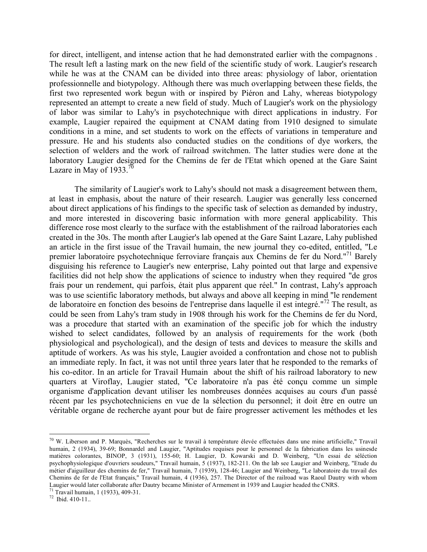for direct, intelligent, and intense action that he had demonstrated earlier with the compagnons . The result left a lasting mark on the new field of the scientific study of work. Laugier's research while he was at the CNAM can be divided into three areas: physiology of labor, orientation professionnelle and biotypology. Although there was much overlapping between these fields, the first two represented work begun with or inspired by Piéron and Lahy, whereas biotypology represented an attempt to create a new field of study. Much of Laugier's work on the physiology of labor was similar to Lahy's in psychotechnique with direct applications in industry. For example, Laugier repaired the equipment at CNAM dating from 1910 designed to simulate conditions in a mine, and set students to work on the effects of variations in temperature and pressure. He and his students also conducted studies on the conditions of dye workers, the selection of welders and the work of railroad switchmen. The latter studies were done at the laboratory Laugier designed for the Chemins de fer de l'Etat which opened at the Gare Saint Lazare in May of  $1933$ .<sup>70</sup>

The similarity of Laugier's work to Lahy's should not mask a disagreement between them, at least in emphasis, about the nature of their research. Laugier was generally less concerned about direct applications of his findings to the specific task of selection as demanded by industry, and more interested in discovering basic information with more general applicability. This difference rose most clearly to the surface with the establishment of the railroad laboratories each created in the 30s. The month after Laugier's lab opened at the Gare Saint Lazare, Lahy published an article in the first issue of the Travail humain, the new journal they co-edited, entitled, "Le premier laboratoire psychotechnique ferroviare français aux Chemins de fer du Nord."<sup>71</sup> Barely disguising his reference to Laugier's new enterprise, Lahy pointed out that large and expensive facilities did not help show the applications of science to industry when they required "de gros frais pour un rendement, qui parfois, était plus apparent que réel." In contrast, Lahy's approach was to use scientific laboratory methods, but always and above all keeping in mind "le rendement de laboratoire en fonction des besoins de l'entreprise dans laquelle il est integré." <sup>72</sup> The result, as could be seen from Lahy's tram study in 1908 through his work for the Chemins de fer du Nord, was a procedure that started with an examination of the specific job for which the industry wished to select candidates, followed by an analysis of requirements for the work (both physiological and psychological), and the design of tests and devices to measure the skills and aptitude of workers. As was his style, Laugier avoided a confrontation and chose not to publish an immediate reply. In fact, it was not until three years later that he responded to the remarks of his co-editor. In an article for Travail Humain about the shift of his railroad laboratory to new quarters at Viroflay, Laugier stated, "Ce laboratoire n'a pas été conçu comme un simple organisme d'application devant utiliser les nombreuses données acquises au cours d'un passé récent par les psychotechniciens en vue de la sélection du personnel; it doit être en outre un véritable organe de recherche ayant pour but de faire progresser activement les méthodes et les

 $70$  W. Liberson and P. Marquès, "Recherches sur le travail à température élevée effectuées dans une mine artificielle," Travail humain, 2 (1934), 39-69; Bonnardel and Laugier, "Aptitudes requises pour le personnel de la fabrication dans les usinesde matières colorantes, BINOP, 3 (1931), 155-60; H. Laugier, D. Kowarski and D. Weinberg, "Un essai de séléction psychophysiologique d'ouvriers soudeurs," Travail humain, 5 (1937), 182-211. On the lab see Laugier and Weinberg, "Etude du métier d'aiguilleur des chemins de fer," Travail humain, 7 (1939), 128-46; Laugier and Weinberg, "Le laboratoire du travail des Chemins de fer de l'Etat français," Travail humain, 4 (1936), 257. The Director of the railroad was Raoul Dautry with whom Laugier would later collaborate after Dautry became Minister of Armement in 1939 and Laugier headed the CNRS.<br><sup>71</sup> Travail humain, 1 (1933), 409-31.<br><sup>72</sup> Ibid. 410-11..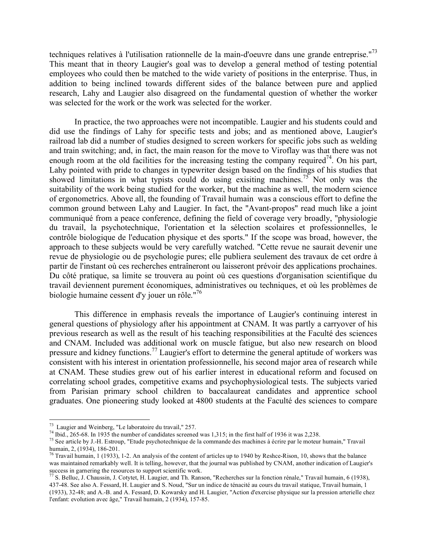techniques relatives à l'utilisation rationnelle de la main-d'oeuvre dans une grande entreprise."<sup>73</sup> This meant that in theory Laugier's goal was to develop a general method of testing potential employees who could then be matched to the wide variety of positions in the enterprise. Thus, in addition to being inclined towards different sides of the balance between pure and applied research, Lahy and Laugier also disagreed on the fundamental question of whether the worker was selected for the work or the work was selected for the worker.

In practice, the two approaches were not incompatible. Laugier and his students could and did use the findings of Lahy for specific tests and jobs; and as mentioned above, Laugier's railroad lab did a number of studies designed to screen workers for specific jobs such as welding and train switching; and, in fact, the main reason for the move to Viroflay was that there was not enough room at the old facilities for the increasing testing the company required<sup>74</sup>. On his part, Lahy pointed with pride to changes in typewriter design based on the findings of his studies that showed limitations in what typists could do using exisiting machines.<sup>75</sup> Not only was the suitability of the work being studied for the worker, but the machine as well, the modern science of ergonometrics. Above all, the founding of Travail humain was a conscious effort to define the common ground between Lahy and Laugier. In fact, the "Avant-propos" read much like a joint communiqué from a peace conference, defining the field of coverage very broadly, "physiologie du travail, la psychotechnique, l'orientation et la sélection scolaires et professionnelles, le contrôle biologique de l'education physique et des sports." If the scope was broad, however, the approach to these subjects would be very carefully watched. "Cette revue ne saurait devenir une revue de physiologie ou de psychologie pures; elle publiera seulement des travaux de cet ordre à partir de l'instant où ces recherches entraîneront ou laisseront prévoir des applications prochaines. Du côté pratique, sa limite se trouvera au point où ces questions d'organisation scientifique du travail deviennent purement économiques, administratives ou techniques, et où les problèmes de biologie humaine cessent d'y jouer un rôle." 76

This difference in emphasis reveals the importance of Laugier's continuing interest in general questions of physiology after his appointment at CNAM. It was partly a carryover of his previous research as well as the result of his teaching responsibilities at the Faculté des sciences and CNAM. Included was additional work on muscle fatigue, but also new research on blood pressure and kidney functions.<sup>77</sup> Laugier's effort to determine the general aptitude of workers was consistent with his interest in orientation professionnelle, his second major area of research while at CNAM. These studies grew out of his earlier interest in educational reform and focused on correlating school grades, competitive exams and psychophysiological tests. The subjects varied from Parisian primary school children to baccalaureat candidates and apprentice school graduates. One pioneering study looked at 4800 students at the Faculté des sciences to compare

<sup>&</sup>lt;sup>73</sup> Laugier and Weinberg, "Le laboratoire du travail," 257.<br><sup>74</sup> Ibid., 265-68. In 1935 the number of candidates screened was 1,315; in the first half of 1936 it was 2,238.<br><sup>75</sup> See article by J.-H. Estroup, "Etude psych

<sup>&</sup>lt;sup>76</sup> Travail humain, 1 (1933), 1-2. An analysis of the content of articles up to 1940 by Reshce-Rison, 10, shows that the balance was maintained remarkably well. It is telling, however, that the journal was published by CNAM, another indication of Laugier's

<sup>&</sup>lt;sup>77</sup> S. Belluc, J. Chaussin, J. Cotytet, H. Laugier, and Th. Ranson, "Recherches sur la fonction rénale," Travail humain, 6 (1938), 437-48. See also A. Fessard, H. Laugier and S. Noud, "Sur un indice de ténacité au cours du travail statique, Travail humain, 1 (1933), 32-48; and A.-B. and A. Fessard, D. Kowarsky and H. Laugier, "Action d'exercise physique sur la pression arterielle chez l'enfant: evolution avec âge," Travail humain, 2 (1934), 157-85.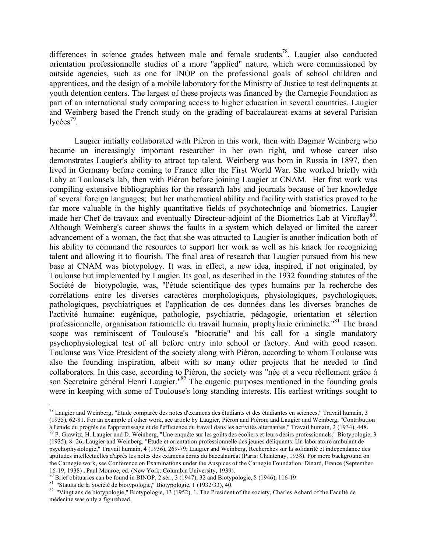differences in science grades between male and female students<sup>78</sup>. Laugier also conducted orientation professionnelle studies of a more "applied" nature, which were commissioned by outside agencies, such as one for INOP on the professional goals of school children and apprentices, and the design of a mobile laboratory for the Ministry of Justice to test delinquents at youth detention centers. The largest of these projects was financed by the Carnegie Foundation as part of an international study comparing access to higher education in several countries. Laugier and Weinberg based the French study on the grading of baccalaureat exams at several Parisian lycées<sup>79</sup>.

Laugier initially collaborated with Piéron in this work, then with Dagmar Weinberg who became an increasingly important researcher in her own right, and whose career also demonstrates Laugier's ability to attract top talent. Weinberg was born in Russia in 1897, then lived in Germany before coming to France after the First World War. She worked briefly with Lahy at Toulouse's lab, then with Piéron before joining Laugier at CNAM. Her first work was compiling extensive bibliographies for the research labs and journals because of her knowledge of several foreign languages; but her mathematical ability and facility with statistics proved to be far more valuable in the highly quantitative fields of psychotechniqe and biometrics. Laugier made her Chef de travaux and eventually Directeur-adjoint of the Biometrics Lab at Viroflay<sup>80</sup>. Although Weinberg's career shows the faults in a system which delayed or limited the career advancement of a woman, the fact that she was attracted to Laugier is another indication both of his ability to command the resources to support her work as well as his knack for recognizing talent and allowing it to flourish. The final area of research that Laugier pursued from his new base at CNAM was biotypology. It was, in effect, a new idea, inspired, if not originated, by Toulouse but implemented by Laugier. Its goal, as described in the 1932 founding statutes of the Société de biotypologie, was, "l'étude scientifique des types humains par la recherche des corrélations entre les diverses caractères morphologiques, physiologiques, psychologiques, pathologiques, psychiatriques et l'application de ces données dans les diverses branches de l'activité humaine: eugénique, pathologie, psychiatrie, pédagogie, orientation et sélection professionnelle, organisation rationnelle du travail humain, prophylaxie criminelle."<sup>81</sup> The broad scope was reminiscent of Toulouse's "biocratie" and his call for a single mandatory psychophysiological test of all before entry into school or factory. And with good reason. Toulouse was Vice President of the society along with Piéron, according to whom Toulouse was also the founding inspiration, albeit with so many other projects that he needed to find collaborators. In this case, according to Piéron, the society was "née et a vecu réellement grâce à son Secretaire général Henri Laugier."<sup>82</sup> The eugenic purposes mentioned in the founding goals were in keeping with some of Toulouse's long standing interests. His earliest writings sought to

 $^{78}$  Laugier and Weinberg, "Etude comparée des notes d'examens des étudiants et des étudiantes en sciences," Travail humain, 3 (1935), 62-81. For an example of other work, see article by Laugier, Piéron and Piéron; and Laugier and Weinberg, "Contribution

à l'étude du progrès de l'apprentissage et de l'efficience du travail dans les activités alternantes," Travail humain, 2 (1934), 448.<br><sup>79</sup> P. Grawitz, H. Laugier and D. Weinberg, "Une enquête sur les goûts des écoliers et (1935), 8- 26; Laugier and Weinberg, "Etude et orientation professionnelle des jeunes déliquants: Un laboratoire ambulant de psychophysiologie," Travail humain, 4 (1936), 269-79; Laugier and Weinberg, Recherches sur la solidarité et independance des aptitudes intellectuelles d'après les notes des examens ecrits du baccalaureat (Paris: Chantenay, 1938). For more background on the Carnegie work, see Conference on Examinations under the Auspices of the Carnegie Foundation. Dinard, France (September 16-19, 1938), Paul Monroe, ed. (New York: Columbia University, 1939).

<sup>&</sup>lt;sup>80</sup> Brief obituaries can be found in BINOP, 2 sér., 3 (1947), 32 and Biotypologie, 8 (1946), 116-19.<br><sup>81</sup> "Statuts de la Société de biotypologie," Biotypologie, 1 (1932/33), 40.<br><sup>82</sup> "Vingt ans de biotypologie," Biotypol médecine was only a figurehead.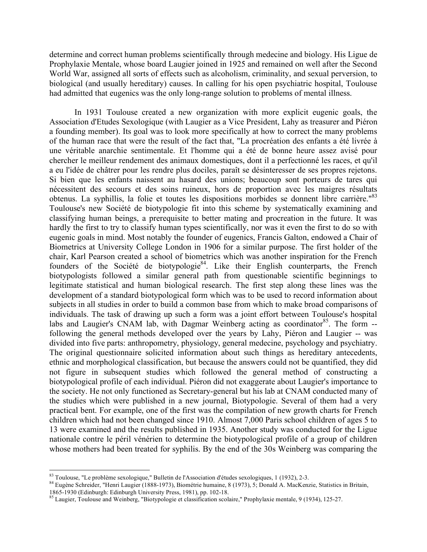determine and correct human problems scientifically through medecine and biology. His Ligue de Prophylaxie Mentale, whose board Laugier joined in 1925 and remained on well after the Second World War, assigned all sorts of effects such as alcoholism, criminality, and sexual perversion, to biological (and usually hereditary) causes. In calling for his open psychiatric hospital, Toulouse had admitted that eugenics was the only long-range solution to problems of mental illness.

In 1931 Toulouse created a new organization with more explicit eugenic goals, the Association d'Etudes Sexologique (with Laugier as a Vice President, Lahy as treasurer and Piéron a founding member). Its goal was to look more specifically at how to correct the many problems of the human race that were the result of the fact that, "La procréation des enfants a été livrée à une véritable anarchie sentimentale. Et l'homme qui a été de bonne heure assez avisé pour chercher le meilleur rendement des animaux domestiques, dont il a perfectionné les races, et qu'il a eu l'idée de châtrer pour les rendre plus dociles, paraît se désinteresser de ses propres rejetons. Si bien que les enfants naissent au hasard des unions; beaucoup sont porteurs de tares qui nécessitent des secours et des soins ruineux, hors de proportion avec les maigres résultats obtenus. La syphillis, la folie et toutes les dispositions morbides se donnent libre carrière."<sup>83</sup> Toulouse's new Société de biotypologie fit into this scheme by systematically examining and classifying human beings, a prerequisite to better mating and procreation in the future. It was hardly the first to try to classify human types scientifically, nor was it even the first to do so with eugenic goals in mind. Most notably the founder of eugenics, Francis Galton, endowed a Chair of Biometrics at University College London in 1906 for a similar purpose. The first holder of the chair, Karl Pearson created a school of biometrics which was another inspiration for the French founders of the Société de biotypologie<sup>84</sup>. Like their English counterparts, the French biotypologists followed a similar general path from questionable scientific beginnings to legitimate statistical and human biological research. The first step along these lines was the development of a standard biotypological form which was to be used to record information about subjects in all studies in order to build a common base from which to make broad comparisons of individuals. The task of drawing up such a form was a joint effort between Toulouse's hospital labs and Laugier's CNAM lab, with Dagmar Weinberg acting as coordinator<sup>85</sup>. The form -following the general methods developed over the years by Lahy, Piéron and Laugier -- was divided into five parts: anthropometry, physiology, general medecine, psychology and psychiatry. The original questionnaire solicited information about such things as hereditary antecedents, ethnic and morphological classification, but because the answers could not be quantified, they did not figure in subsequent studies which followed the general method of constructing a biotypological profile of each individual. Piéron did not exaggerate about Laugier's importance to the society. He not only functioned as Secretary-general but his lab at CNAM conducted many of the studies which were published in a new journal, Biotypologie. Several of them had a very practical bent. For example, one of the first was the compilation of new growth charts for French children which had not been changed since 1910. Almost 7,000 Paris school children of ages 5 to 13 were examined and the results published in 1935. Another study was conducted for the Ligue nationale contre le péril vénérien to determine the biotypological profile of a group of children whose mothers had been treated for syphilis. By the end of the 30s Weinberg was comparing the

<sup>&</sup>lt;sup>83</sup> Toulouse, "Le problème sexologique," Bulletin de l'Association d'études sexologiques, 1 (1932), 2-3.<br><sup>84</sup> Eugène Schreider, "Henri Laugier (1888-1973), Biométrie humaine, 8 (1973), 5; Donald A. MacKenzie, Statistics

 $85$  Laugier, Toulouse and Weinberg, "Biotypologie et classification scolaire," Prophylaxie mentale, 9 (1934), 125-27.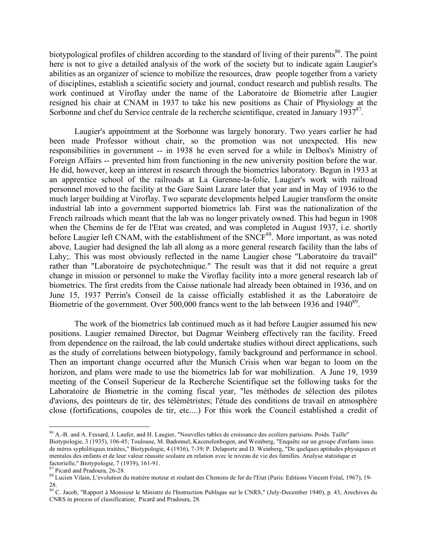biotypological profiles of children according to the standard of living of their parents<sup>86</sup>. The point here is not to give a detailed analysis of the work of the society but to indicate again Laugier's abilities as an organizer of science to mobilize the resources, draw people together from a variety of disciplines, establish a scientific society and journal, conduct research and publish results. The work continued at Viroflay under the name of the Laboratoire de Biometrie after Laugier resigned his chair at CNAM in 1937 to take his new positions as Chair of Physiology at the Sorbonne and chef du Service centrale de la recherche scientifique, created in January 1937<sup>87</sup>.

Laugier's appointment at the Sorbonne was largely honorary. Two years earlier he had been made Professor without chair, so the promotion was not unexpected. His new responsibilities in government -- in 1938 he even served for a while in Delbos's Ministry of Foreign Affairs -- prevented him from functioning in the new university position before the war. He did, however, keep an interest in research through the biometrics laboratory. Begun in 1933 at an apprentice school of the railroads at La Garenne-la-folie, Laugier's work with railroad personnel moved to the facility at the Gare Saint Lazare later that year and in May of 1936 to the much larger building at Viroflay. Two separate developments helped Laugier transform the onsite industrial lab into a government supported biometrics lab. First was the nationalization of the French railroads which meant that the lab was no longer privately owned. This had begun in 1908 when the Chemins de fer de l'Etat was created, and was completed in August 1937, i.e. shortly before Laugier left CNAM, with the establishment of the SNCF<sup>88</sup>. More important, as was noted above, Laugier had designed the lab all along as a more general research facility than the labs of Lahy;. This was most obviously reflected in the name Laugier chose "Laboratoire du travail" rather than "Laboratoire de psychotechnique." The result was that it did not require a great change in mission or personnel to make the Viroflay facility into a more general research lab of biometrics. The first credits from the Caisse nationale had already been obtained in 1936, and on June 15, 1937 Perrin's Conseil de la caisse officially established it as the Laboratoire de Biometrie of the government. Over 500,000 francs went to the lab between 1936 and 1940<sup>89</sup>.

The work of the biometrics lab continued much as it had before Laugier assumed his new positions. Laugier remained Director, but Dagmar Weinberg effectively ran the facility. Freed from dependence on the railroad, the lab could undertake studies without direct applications, such as the study of correlations between biotypology, family background and performance in school. Then an important change occurred after the Munich Crisis when war began to loom on the horizon, and plans were made to use the biometrics lab for war mobilization. A June 19, 1939 meeting of the Conseil Superieur de la Recherche Scientifique set the following tasks for the Laboratoire de Biometrie in the coming fiscal year, "les méthodes de sélection des pilotes d'avions, des pointeurs de tir, des télémétristes; l'étude des conditions de travail en atmosphère close (fortifications, coupoles de tir, etc....) For this work the Council established a credit of

<sup>86</sup> A.-B. and A. Fessard, J. Laufer, and H. Laugier, "Nouvelles tables de croissance des ecoliers parisiens. Poids. Taille" Biotypologie, 3 (1935), 106-45; Toulouse, M. Badonnel, Kacenelenbogen, and Weinberg, "Enquête sur un groupe d'enfants issus de méres syphilitiques traitées," Biotypologie, 4 (1936), 7-39; P. Delaporte and D. Weinberg, "De quelques aptitudes physiques et mentales des enfants et de leur valeur réussite scolaire en relation avec le niveau de vie des familles. Analyse statistique et

factorielle," Biotypologie, 7 (1939), 161-91.<br><sup>87</sup> Picard and Pradoura, 26-28. 88 Lucien Vilain, L'evolution du matière moteur et roulant des Chemins de fer de l'Etat (Paris: Editions Vincent Fréal, 1967), 19-<br><sup>88</sup> Lucien

<sup>28.&</sup>lt;br><sup>89</sup> C. Jacob, "Rapport à Monsieur le Ministre de l'Instruction Publique sur le CNRS," (July-December 1940), p. 43, Arechives du CNRS in process of classification; Picard and Pradoura, 28.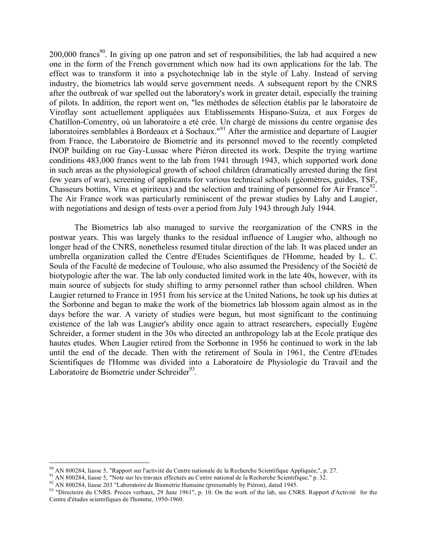$200,000$  francs<sup>90</sup>. In giving up one patron and set of responsibilities, the lab had acquired a new one in the form of the French government which now had its own applications for the lab. The effect was to transform it into a psychotechniqe lab in the style of Lahy. Instead of serving industry, the biometrics lab would serve government needs. A subsequent report by the CNRS after the outbreak of war spelled out the laboratory's work in greater detail, especially the training of pilots. In addition, the report went on, "les méthodes de sélection établis par le laboratoire de Viroflay sont actuellement appliquées aux Etablissements Hispano-Suiza, et aux Forges de Chatillon-Comentry, où un laboratoire a eté crée. Un chargé de missions du centre organise des laboratoires semblables à Bordeaux et à Sochaux."<sup>91</sup> After the armistice and departure of Laugier from France, the Laboratoire de Biometrie and its personnel moved to the recently completed INOP building on rue Gay-Lussac where Piéron directed its work. Despite the trying wartime conditions 483,000 francs went to the lab from 1941 through 1943, which supported work done in such areas as the physiological growth of school children (dramatically arrested during the first few years of war), screening of applicants for various technical schools (géomètres, guides, TSF, Chasseurs bottins, Vins et spiriteux) and the selection and training of personnel for Air France<sup>92</sup>. The Air France work was particularly reminiscent of the prewar studies by Lahy and Laugier, with negotiations and design of tests over a period from July 1943 through July 1944.

The Biometrics lab also managed to survive the reorganization of the CNRS in the postwar years. This was largely thanks to the residual influence of Laugier who, although no longer head of the CNRS, nonetheless resumed titular direction of the lab. It was placed under an umbrella organization called the Centre d'Etudes Scientifiques de l'Homme, headed by L. C. Soula of the Faculté de medecine of Toulouse, who also assumed the Presidency of the Société de biotypologie after the war. The lab only conducted limited work in the late 40s, however, with its main source of subjects for study shifting to army personnel rather than school children. When Laugier returned to France in 1951 from his service at the United Nations, he took up his duties at the Sorbonne and began to make the work of the biometrics lab blossom again almost as in the days before the war. A variety of studies were begun, but most significant to the continuing existence of the lab was Laugier's ability once again to attract researchers, especially Eugène Schreider, a former student in the 30s who directed an anthropology lab at the Ecole pratique des hautes etudes. When Laugier retired from the Sorbonne in 1956 he continued to work in the lab until the end of the decade. Then with the retirement of Soula in 1961, the Centre d'Etudes Scientifiques de l'Homme was divided into a Laboratoire de Physiologie du Travail and the Laboratoire de Biometrie under Schreider<sup>93</sup>.

<sup>&</sup>lt;sup>90</sup> AN 800284, liasse 5, "Rapport sur l'activité du Centre nationale de la Recherche Scientifique Appliquée,", p. 27.<br><sup>91</sup> AN 800284, liasse 5, "Note sur les travaux effectués au Centre national de la Recherche Scientifi Centre d'études scientifiques de l'homme, 1950-1960.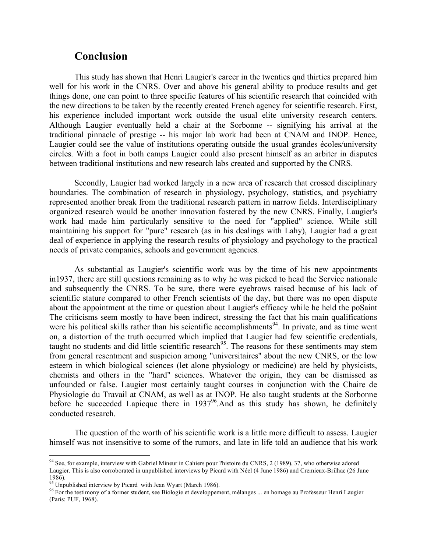## **Conclusion**

This study has shown that Henri Laugier's career in the twenties qnd thirties prepared him well for his work in the CNRS. Over and above his general ability to produce results and get things done, one can point to three specific features of his scientific research that coincided with the new directions to be taken by the recently created French agency for scientific research. First, his experience included important work outside the usual elite university research centers. Although Laugier eventually held a chair at the Sorbonne -- signifying his arrival at the traditional pinnacle of prestige -- his major lab work had been at CNAM and INOP. Hence, Laugier could see the value of institutions operating outside the usual grandes écoles/university circles. With a foot in both camps Laugier could also present himself as an arbiter in disputes between traditional institutions and new research labs created and supported by the CNRS.

Secondly, Laugier had worked largely in a new area of research that crossed disciplinary boundaries. The combination of research in physiology, psychology, statistics, and psychiatry represented another break from the traditional research pattern in narrow fields. Interdisciplinary organized research would be another innovation fostered by the new CNRS. Finally, Laugier's work had made him particularly sensitive to the need for "applied" science. While still maintaining his support for "pure" research (as in his dealings with Lahy), Laugier had a great deal of experience in applying the research results of physiology and psychology to the practical needs of private companies, schools and government agencies.

As substantial as Laugier's scientific work was by the time of his new appointments in1937, there are still questions remaining as to why he was picked to head the Service nationale and subsequently the CNRS. To be sure, there were eyebrows raised because of his lack of scientific stature compared to other French scientists of the day, but there was no open dispute about the appointment at the time or question about Laugier's efficacy while he held the poSaint The criticisms seem mostly to have been indirect, stressing the fact that his main qualifications were his political skills rather than his scientific accomplishments<sup>94</sup>. In private, and as time went on, a distortion of the truth occurred which implied that Laugier had few scientific credentials, taught no students and did little scientific research<sup>95</sup>. The reasons for these sentiments may stem from general resentment and suspicion among "universitaires" about the new CNRS, or the low esteem in which biological sciences (let alone physiology or medicine) are held by physicists, chemists and others in the "hard" sciences. Whatever the origin, they can be dismissed as unfounded or false. Laugier most certainly taught courses in conjunction with the Chaire de Physiologie du Travail at CNAM, as well as at INOP. He also taught students at the Sorbonne before he succeeded Lapicque there in  $1937<sup>96</sup>$ . And as this study has shown, he definitely conducted research.

The question of the worth of his scientific work is a little more difficult to assess. Laugier himself was not insensitive to some of the rumors, and late in life told an audience that his work

<sup>94</sup> See, for example, interview with Gabriel Mineur in Cahiers pour l'histoire du CNRS, <sup>2</sup> (1989), 37, who otherwise adored Laugier. This is also corroborated in unpublished interviews by Picard with Néel (4 June 1986) and Cremieux-Brilhac (26 June

<sup>1986).&</sup>lt;br><sup>95</sup> Unpublished interview by Picard with Jean Wyart (March 1986).<br><sup>96</sup> For the testimony of a former student, see Biologie et developpement, mélanges ... en homage au Professeur Henri Laugier (Paris: PUF, 1968).